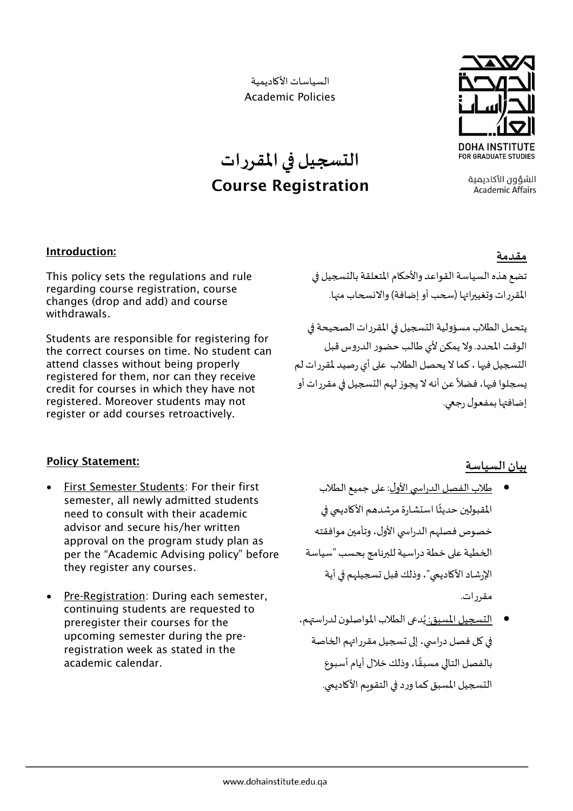السياسات األكاديمية Academic Policies

**التسجيل فياملقررات**

**Course Registration**



الشؤون الأكاديمية **Academic Affairs** 

## **Introduction:**

This policy sets the regulations and rule regarding course registration, course changes (drop and add) and course withdrawals.

Students are responsible for registering for the correct courses on time. No student can attend classes without being properly registered for them, nor can they receive credit for courses in which they have not registered. Moreover students may not register or add courses retroactively.

## **مقدمة**

تضع هذه السياسة القواعد والأحكام المتعلقة بالتسجيل في المقررات وتغييراتها (سحب أو إضافة) والانسحاب منها.

يتحمل الطلاب مسؤولية التسجيل في المقررات الصحيحة في الوقت المحدد. ولا يمكن لأي طالب حضور الدروس قبل التسجيل فيها ، كما لا يحصل الطلاب على أي رصيد لمقررات لم يسجلوا فيها، فضلاً عن أنه لا يجوز لهم التسجيل في مقررات أو ً إضافتها بمفعول رجعي.

## **Policy Statement:**

- First Semester Students: For their first semester, all newly admitted students need to consult with their academic advisor and secure his/her written approval on the program study plan as per the "Academic Advising policy" before they register any courses.
- Pre-Registration: During each semester, continuing students are requested to preregister their courses for the upcoming semester during the preregistration week as stated in the academic calendar.

## **بيان السياسة**

- طالب الفصل الدراس ي األول: على جميع الطالب المقبولين حديثًا استشارة مرشدهم الأكاديمي في ً خصوص فصلهم الدراسي الأول، وتأمين موافقته الخطية على خطة دراسية للبرنامج بحسب "سياسة الإرشاد الأكاديمي"، وذلك قبل تسجيلهم في أية مقررات.
- التسجيل املسبق: دعىالطالب ي املواصلون لدراستهم، ؚ<br>ؙ في كل فصل دراسي، إلى تسجيل مقرراتهم الخاصة بالفصل التالي مسبقًا، وذلك خلال أيام أسبوع ً التسجيل المسبق كما ورد في التقويم الأكاديمي.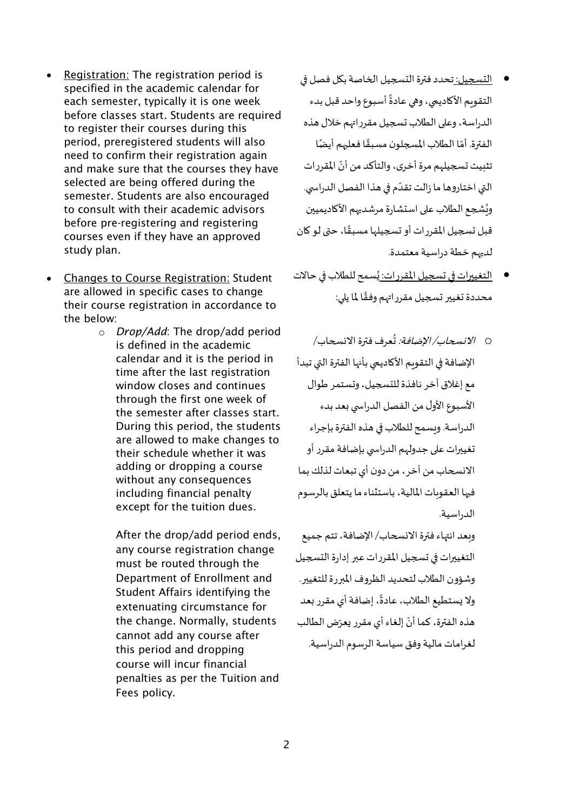- Registration: The registration period is specified in the academic calendar for each semester, typically it is one week before classes start. Students are required to register their courses during this period, preregistered students will also need to confirm their registration again and make sure that the courses they have selected are being offered during the semester. Students are also encouraged to consult with their academic advisors before pre-registering and registering courses even if they have an approved study plan.
- Changes to Course Registration: Student are allowed in specific cases to change their course registration in accordance to the below:
	- o *Drop/Add*: The drop/add period is defined in the academic calendar and it is the period in time after the last registration window closes and continues through the first one week of the semester after classes start. During this period, the students are allowed to make changes to their schedule whether it was adding or dropping a course without any consequences including financial penalty except for the tuition dues.

After the drop/add period ends, any course registration change must be routed through the Department of Enrollment and Student Affairs identifying the extenuating circumstance for the change. Normally, students cannot add any course after this period and dropping course will incur financial penalties as per the Tuition and Fees policy.

- التسجيل: تحدد فترة التسجيل الخاصة بكل فصل في التقويم الأكاديمي، وهي عادةً أسبوع واحد قبل بدء ์<br>:<br>: الدراسة، وعلى الطلاب تسجيل مقرراتهم خلال هذه .<br>الفترة. أمّا الطلاب المسجلون مسبقًا فعليهم أيضًا ً ֦֧֦ تثبيت تسجيلهم مرة أخرى، والتأكد من أنّ المقررات  $\ddot{\cdot}$ التي اختاروها ما زالت تقدّم في هذا الفصل الدراسي. ֦֧<sup>֦</sup> ويُشجع الطلاب على استشارة مرشديهم الأكاديميين ُ قبل تسجيل المقررات أو تسجيلها مسبقًا، حتى لو كان ً لديهم خطة دراسية معتمدة.
- ا<u>لتغييرات في تسجيل المقررات: يُ</u>سمح للطلاب في حالات ُ محددة تغيير تسجيل مقرراتهم وفقًا لما يلي: ً
- 0 /*لانسحاب/ الإضافة:* تُعرف فترة الانسحاب/ ُ الإضافة في التقويم الأكاديمي بأنها الفترة التي تبدأ مع إغالق آخر نافذة للتسجيل، وتستمر طوال األسبوع األول من الفصل الدراس يبعد بدء الدراسة. وبسمح للطلاب في هذه الفترة بإجراء تغييرات على جدولهم الدراسي بإضافة مقرر أو الانسحاب من آخر ، من دون أي تبعات لذلك بما فيها العقوبات املالية، باستثناء ما يتعلق بالرسوم الدراسية.

وبعد انتهاء فترة االنسحاب/ اإلضافة، تتم جميع التغييرات في تسجيل المقررات عبر إدارة التسجيل وشؤون الطلاب لتحديد الظروف المبررة للتغيير. ولا يستطيع الطلاب، عادةً، إضافة أي مقرر بعد ً .<br>هذه الفترة، كما أنّ إلغاء أي مقرر يعرّض الطالب ֦֧֦֧֦֧֦֧֦֧֦֧֦֧֦֧ لغرامات مالية وفق سياسة الرسوم الدراسية.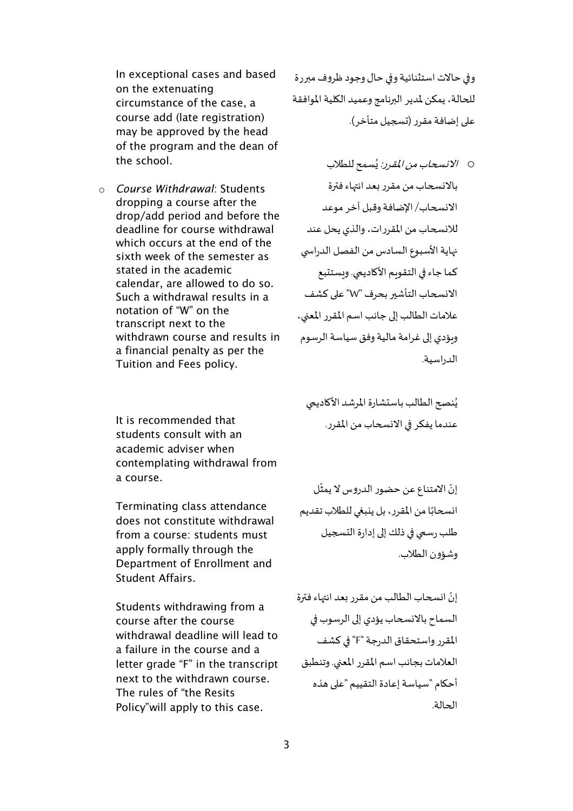In exceptional cases and based on the extenuating circumstance of the case, a course add (late registration) may be approved by the head of the program and the dean of the school.

o *Course Withdrawal*: Students dropping a course after the drop/add period and before the deadline for course withdrawal which occurs at the end of the sixth week of the semester as stated in the academic calendar, are allowed to do so. Such a withdrawal results in a notation of "W" on the transcript next to the withdrawn course and results in a financial penalty as per the Tuition and Fees policy.

It is recommended that students consult with an academic adviser when contemplating withdrawal from a course.

Terminating class attendance does not constitute withdrawal from a course: students must apply formally through the Department of Enrollment and Student Affairs.

Students withdrawing from a course after the course withdrawal deadline will lead to a failure in the course and a letter grade "F" in the transcript next to the withdrawn course. The rules of "the Resits Policy"will apply to this case.

وفي حالات استثنائية وفي حال وجود ظروف مبررة للحالة، يمكن ملدير البرنامج وعميد الكلية املوافقة على إضافة مقرر (تسجيل متأخر).

0 *الانسحاب من المقرر:* يُسمح للطلاب ُ باالنسحاب من مقرربعد انتهاءفترة االنسحاب/ اإلضافة وقبل آخر موعد لالنسحاب من املقررات،والذي يحل عند نهاية الأسبوع السادس من الفصل الدراسي كما جاء في التقويم الأكاديمي. ويستتبع االنسحاب التأشير بحرف "W "على كشف علامات الطالب إلى جانب اسم المقرر المعنى، وبؤدي إلى غرامة مالية وفق سياسة الرسوم الدراسية.

يُنصح الطالب باستشارة المرشد الأكاديمي ؚ<br>ؙ عندما يفكر في الانسحاب من المقرر.

֦֧֦֧֦֧<u>֦</u> إنّ الامتناع عن حضور الدروس لا يمثّل ֦֧ انسحابًا من المقرر، بل ينبغي للطلاب تقديم ؚ<br>; طلب رسمي في ذلك إلى إدارة التسجيل وشؤون الطالب.

إنّ انسحاب الطالب من مقرر بعد انتهاء فترة ֦֧֦֧֦֧֦֧֦֧֦*֬* السماح باالنسحاب يؤدي إلى الرسوب في املقررواستحقاق الدرجة"F "في كشف العلامات بجانب اسم المقرر المعني. وتنطبق أحكام "سياسة إعادة التقييم "على هذه الحالة.